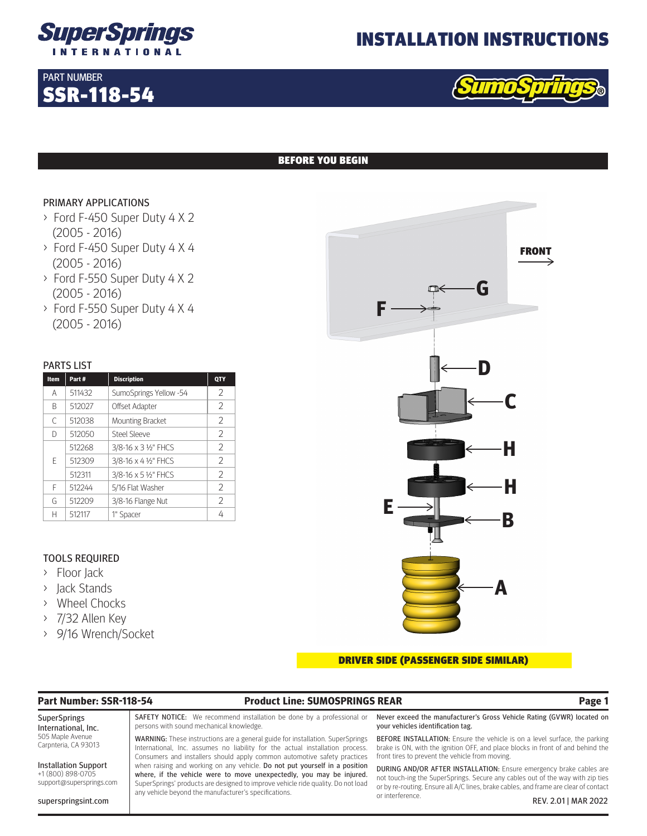

## INSTALLATION INSTRUCTIONS



## BEFORE YOU BEGIN

## PRIMARY APPLICATIONS

SSR-118-54

PART NUMBER

- > Ford F-450 Super Duty 4 X 2 (2005 - 2016)
- > Ford F-450 Super Duty 4 X 4 (2005 - 2016)
- > Ford F-550 Super Duty 4 X 2 (2005 - 2016)
- > Ford F-550 Super Duty 4 X 4 (2005 - 2016)

### PARTS LIST

| Item | Part#  | <b>Discription</b>      | QTY           |
|------|--------|-------------------------|---------------|
| Α    | 511432 | SumoSprings Yellow -54  | 2             |
| B    | 512027 | Offset Adapter          | 2             |
| C    | 512038 | <b>Mounting Bracket</b> | 2             |
| D    | 512050 | Steel Sleeve            | 2             |
| F    | 512268 | 3/8-16 x 3 1/2" FHCS    | 2             |
|      | 512309 | 3/8-16 x 4 1/2" FHCS    | $\mathcal{P}$ |
|      | 512311 | 3/8-16 x 5 1/2" FHCS    | 2             |
| F    | 512244 | 5/16 Flat Washer        | 2             |
| G    | 512209 | 3/8-16 Flange Nut       | 2             |
| Н    | 512117 | 1" Spacer               | 4             |

## TOOLS REQUIRED

- > Floor Jack
- > Jack Stands
- > Wheel Chocks
- > 7/32 Allen Key
- > 9/16 Wrench/Socket

# **F E G D C H H B A** FRONT

### DRIVER SIDE (PASSENGER SIDE SIMILAR)

### **Part Number: SSR-118-54 Product Line: SUMOSPRINGS REAR Page 1**

SuperSprings International, Inc. 505 Maple Avenue Carpnteria, CA 93013

Installation Support +1 (800) 898-0705 support@supersprings.com

superspringsint.com

SAFETY NOTICE: We recommend installation be done by a professional or persons with sound mechanical knowledge.

WARNING: These instructions are a general guide for installation. SuperSprings International, Inc. assumes no liability for the actual installation process. Consumers and installers should apply common automotive safety practices when raising and working on any vehicle. Do not put yourself in a position where, if the vehicle were to move unexpectedly, you may be injured. SuperSprings' products are designed to improve vehicle ride quality. Do not load any vehicle beyond the manufacturer's specifications.

Never exceed the manufacturer's Gross Vehicle Rating (GVWR) located on your vehicles identification tag.

BEFORE INSTALLATION: Ensure the vehicle is on a level surface, the parking brake is ON, with the ignition OFF, and place blocks in front of and behind the front tires to prevent the vehicle from moving.

DURING AND/OR AFTER INSTALLATION: Ensure emergency brake cables are not touch-ing the SuperSprings. Secure any cables out of the way with zip ties or by re-routing. Ensure all A/C lines, brake cables, and frame are clear of contact or interference. REV. 2.01 | MAR 2022